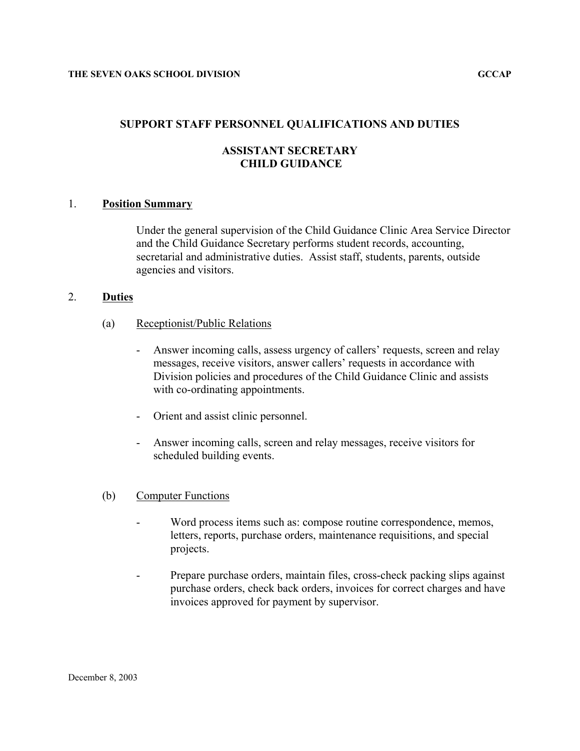## **SUPPORT STAFF PERSONNEL QUALIFICATIONS AND DUTIES**

## **ASSISTANT SECRETARY CHILD GUIDANCE**

### 1. **Position Summary**

Under the general supervision of the Child Guidance Clinic Area Service Director and the Child Guidance Secretary performs student records, accounting, secretarial and administrative duties. Assist staff, students, parents, outside agencies and visitors.

## 2. **Duties**

- (a) Receptionist/Public Relations
	- Answer incoming calls, assess urgency of callers' requests, screen and relay messages, receive visitors, answer callers' requests in accordance with Division policies and procedures of the Child Guidance Clinic and assists with co-ordinating appointments.
	- Orient and assist clinic personnel.
	- Answer incoming calls, screen and relay messages, receive visitors for scheduled building events.

### (b) Computer Functions

- Word process items such as: compose routine correspondence, memos, letters, reports, purchase orders, maintenance requisitions, and special projects.
- Prepare purchase orders, maintain files, cross-check packing slips against purchase orders, check back orders, invoices for correct charges and have invoices approved for payment by supervisor.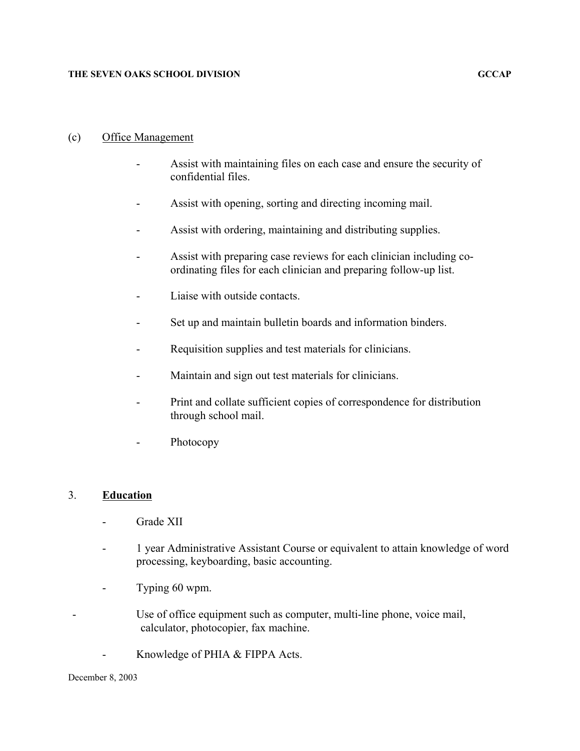### (c) Office Management

- Assist with maintaining files on each case and ensure the security of confidential files.
- Assist with opening, sorting and directing incoming mail.
- Assist with ordering, maintaining and distributing supplies.
- Assist with preparing case reviews for each clinician including coordinating files for each clinician and preparing follow-up list.
- Liaise with outside contacts.
- Set up and maintain bulletin boards and information binders.
- Requisition supplies and test materials for clinicians.
- Maintain and sign out test materials for clinicians.
- Print and collate sufficient copies of correspondence for distribution through school mail.
- Photocopy

### 3. **Education**

- Grade XII
- 1 year Administrative Assistant Course or equivalent to attain knowledge of word processing, keyboarding, basic accounting.
- Typing 60 wpm.
- Use of office equipment such as computer, multi-line phone, voice mail, calculator, photocopier, fax machine.
	- Knowledge of PHIA & FIPPA Acts.

#### December 8, 2003